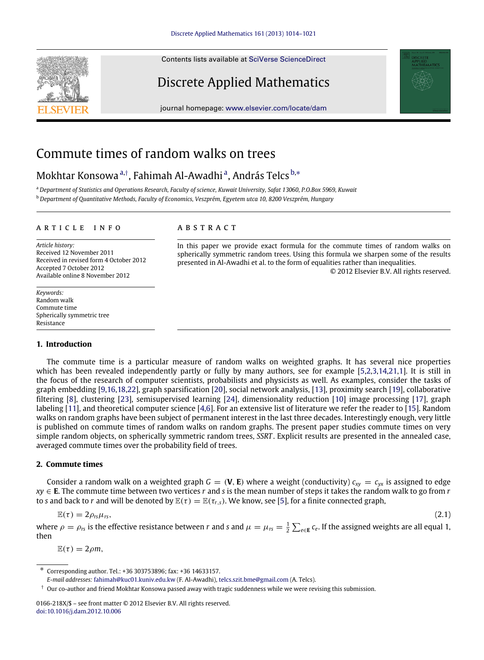Contents lists available at [SciVerse ScienceDirect](http://www.elsevier.com/locate/dam)

# Discrete Applied Mathematics

journal homepage: [www.elsevier.com/locate/dam](http://www.elsevier.com/locate/dam)

# Commute times of random walks on trees

### Mokhtar Konsowa <sup>[a,](#page-0-0)†</sup>, F[a](#page-0-0)himah Al-Awadhi <sup>a</sup>, András Telcs <sup>[b,](#page-0-2)\*</sup>

<span id="page-0-2"></span><span id="page-0-0"></span><sup>a</sup> *Department of Statistics and Operations Research, Faculty of science, Kuwait University, Safat 13060, P.O.Box 5969, Kuwait* <sup>b</sup> *Department of Quantitative Methods, Faculty of Economics, Veszprém, Egyetem utca 10, 8200 Veszprém, Hungary*

#### a r t i c l e i n f o

*Article history:* Received 12 November 2011 Received in revised form 4 October 2012 Accepted 7 October 2012 Available online 8 November 2012

*Keywords:* Random walk Commute time Spherically symmetric tree **Resistance** 

#### **1. Introduction**

### a b s t r a c t

<span id="page-0-4"></span>In this paper we provide exact formula for the commute times of random walks on spherically symmetric random trees. Using this formula we sharpen some of the results presented in Al-Awadhi et al. to the form of equalities rather than inequalities. © 2012 Elsevier B.V. All rights reserved.

The commute time is a particular measure of random walks on weighted graphs. It has several nice properties which has been revealed independently partly or fully by many authors, see for example [\[5](#page-7-0)[,2](#page-7-1)[,3,](#page-7-2)[14](#page-7-3)[,21,](#page-7-4)[1\]](#page-7-5). It is still in the focus of the research of computer scientists, probabilists and physicists as well. As examples, consider the tasks of graph embedding [\[9](#page-7-6)[,16,](#page-7-7)[18](#page-7-8)[,22\]](#page-7-9), graph sparsification [\[20\]](#page-7-10), social network analysis, [\[13\]](#page-7-11), proximity search [\[19\]](#page-7-12), collaborative filtering [\[8\]](#page-7-13), clustering [\[23\]](#page-7-14), semisupervised learning [\[24\]](#page-7-15), dimensionality reduction [\[10\]](#page-7-16) image processing [\[17\]](#page-7-17), graph labeling [\[11\]](#page-7-18), and theoretical computer science [\[4](#page-7-19)[,6\]](#page-7-20). For an extensive list of literature we refer the reader to [\[15\]](#page-7-21). Random walks on random graphs have been subject of permanent interest in the last three decades. Interestingly enough, very little is published on commute times of random walks on random graphs. The present paper studies commute times on very simple random objects, on spherically symmetric random trees, *SSRT* . Explicit results are presented in the annealed case, averaged commute times over the probability field of trees.

#### **2. Commute times**

Consider a random walk on a weighted graph  $G = (\mathbf{V}, \mathbf{E})$  where a weight (conductivity)  $c_{xy} = c_{yx}$  is assigned to edge *xy* ∈ **E**. The commute time between two vertices *r* and *s* is the mean number of steps it takes the random walk to go from *r* to *s* and back to *r* and will be denoted by  $\mathbb{E}(\tau) = \mathbb{E}(\tau_{r,s})$ . We know, see [\[5\]](#page-7-0), for a finite connected graph,

$$
\mathbb{E}(\tau) = 2\rho_{rs}\mu_{rs},\tag{2.1}
$$

where  $\rho = \rho_{rs}$  is the effective resistance between *r* and *s* and  $\mu = \mu_{rs} = \frac{1}{2} \sum_{e \in E} c_e$ . If the assigned weights are all equal 1, then

 $\mathbb{E}(\tau) = 2 \rho m$ ,



<sup>∗</sup> Corresponding author. Tel.: +36 303753896; fax: +36 14633157.

<span id="page-0-3"></span>*E-mail addresses:* [fahimah@kuc01.kuniv.edu.kw](mailto:fahimah@kuc01.kuniv.edu.kw) (F. Al-Awadhi), [telcs.szit.bme@gmail.com](mailto:telcs.szit.bme@gmail.com) (A. Telcs).

<span id="page-0-1"></span> $\dagger$  Our co-author and friend Mokhtar Konsowa passed away with tragic suddenness while we were revising this submission.

<sup>0166-218</sup>X/\$ – see front matter © 2012 Elsevier B.V. All rights reserved. [doi:10.1016/j.dam.2012.10.006](http://dx.doi.org/10.1016/j.dam.2012.10.006)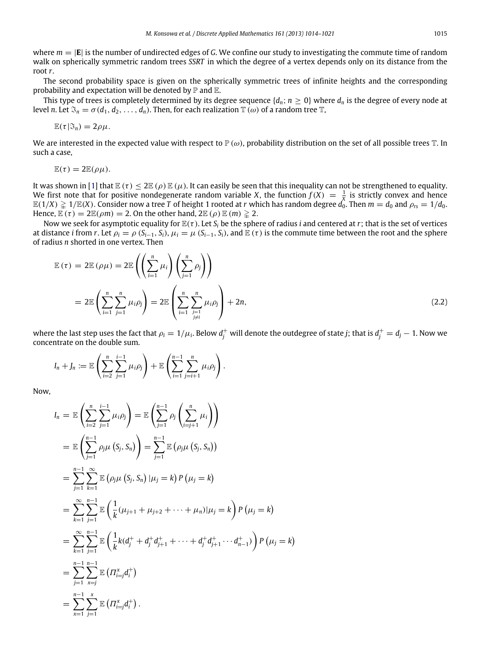where  $m = |E|$  is the number of undirected edges of *G*. We confine our study to investigating the commute time of random walk on spherically symmetric random trees *SSRT* in which the degree of a vertex depends only on its distance from the root *r*.

The second probability space is given on the spherically symmetric trees of infinite heights and the corresponding probability and expectation will be denoted by  $\mathbb P$  and  $\mathbb E$ .

This type of trees is completely determined by its degree sequence  $\{d_n; n \geq 0\}$  where  $d_n$  is the degree of every node at level *n*. Let  $\mathfrak{S}_n = \sigma(d_1, d_2, \ldots, d_n)$ . Then, for each realization  $\mathbb{T}(\omega)$  of a random tree  $\mathbb{T}$ ,

$$
\mathbb{E}(\tau|\mathfrak{I}_n)=2\rho\mu.
$$

We are interested in the expected value with respect to  $\mathbb{P}(\omega)$ , probability distribution on the set of all possible trees  $\mathbb{T}$ . In such a case,

$$
\mathbb{E}(\tau)=2\mathbb{E}(\rho\mu).
$$

It was shown in [\[1\]](#page-7-5) that  $\mathbb{E}(\tau) \leq 2\mathbb{E}(\rho)\mathbb{E}(\mu)$ . It can easily be seen that this inequality can not be strengthened to equality. We first note that for positive nondegenerate random variable *X*, the function  $f(X) = \frac{1}{X}$  is strictly convex and hence  $\mathbb{E}(1/X)\gtrapprox 1/\mathbb{E}(X)$ . Consider now a tree  $T$  of height 1 rooted at  $r$  which has random degree  $d_0$ . Then  $m=d_0$  and  $\rho_{rs}=1/d_0.$ Hence,  $\mathbb{E}(\tau) = 2\mathbb{E}(\rho m) = 2$ . On the other hand,  $2\mathbb{E}(\rho) \mathbb{E}(m) \ge 2$ .

Now we seek for asymptotic equality for  $\mathbb{E}(\tau)$ . Let  $S_i$  be the sphere of radius *i* and centered at *r*; that is the set of vertices at distance *i* from *r*. Let  $\rho_i = \rho (S_{i-1}, S_i)$ ,  $\mu_i = \mu (S_{i-1}, S_i)$ , and  $\mathbb{E}(\tau)$  is the commute time between the root and the sphere of radius *n* shorted in one vertex. Then

$$
\mathbb{E}(\tau) = 2\mathbb{E}(\rho\mu) = 2\mathbb{E}\left(\left(\sum_{i=1}^{n} \mu_i\right)\left(\sum_{j=1}^{n} \rho_j\right)\right)
$$
  
= 
$$
2\mathbb{E}\left(\sum_{i=1}^{n} \sum_{j=1}^{n} \mu_i \rho_j\right) = 2\mathbb{E}\left(\sum_{i=1}^{n} \sum_{\substack{j=1 \ j \neq i}}^{n} \mu_i \rho_j\right) + 2n,
$$
 (2.2)

where the last step uses the fact that  $\rho_i=1/\mu_i$ . Below  $d^+_j$  will denote the outdegree of state  $j;$  that is  $d^+_j=d_j-1.$  Now we concentrate on the double sum.

$$
I_n+J_n:=\mathbb{E}\left(\sum_{i=2}^n\sum_{j=1}^{i-1}\mu_i\rho_j\right)+\mathbb{E}\left(\sum_{i=1}^{n-1}\sum_{j=i+1}^n\mu_i\rho_j\right).
$$

Now,

$$
I_n = \mathbb{E}\left(\sum_{i=2}^n \sum_{j=1}^{i-1} \mu_i \rho_j\right) = \mathbb{E}\left(\sum_{j=1}^{n-1} \rho_j \left(\sum_{i=j+1}^n \mu_i\right)\right)
$$
  
\n
$$
= \mathbb{E}\left(\sum_{j=1}^{n-1} \rho_j \mu\left(S_j, S_n\right)\right) = \sum_{j=1}^{n-1} \mathbb{E}\left(\rho_j \mu\left(S_j, S_n\right)\right)
$$
  
\n
$$
= \sum_{j=1}^{n-1} \sum_{k=1}^{\infty} \mathbb{E}\left(\rho_j \mu\left(S_j, S_n\right) | \mu_j = k\right) P\left(\mu_j = k\right)
$$
  
\n
$$
= \sum_{k=1}^{\infty} \sum_{j=1}^{n-1} \mathbb{E}\left(\frac{1}{k}(\mu_{j+1} + \mu_{j+2} + \dots + \mu_n)| \mu_j = k\right) P\left(\mu_j = k\right)
$$
  
\n
$$
= \sum_{k=1}^{\infty} \sum_{j=1}^{n-1} \mathbb{E}\left(\frac{1}{k}k(d_j^+ + d_j^+d_{j+1}^+ + \dots + d_j^+d_{j+1}^+ \dots d_{n-1}^+)\right) P\left(\mu_j = k\right)
$$
  
\n
$$
= \sum_{j=1}^{n-1} \sum_{k=j}^{n-1} \mathbb{E}\left(\Pi_{i=j}^x d_i^+\right)
$$
  
\n
$$
= \sum_{k=1}^{n-1} \sum_{j=1}^x \mathbb{E}\left(\Pi_{i=j}^x d_i^+\right).
$$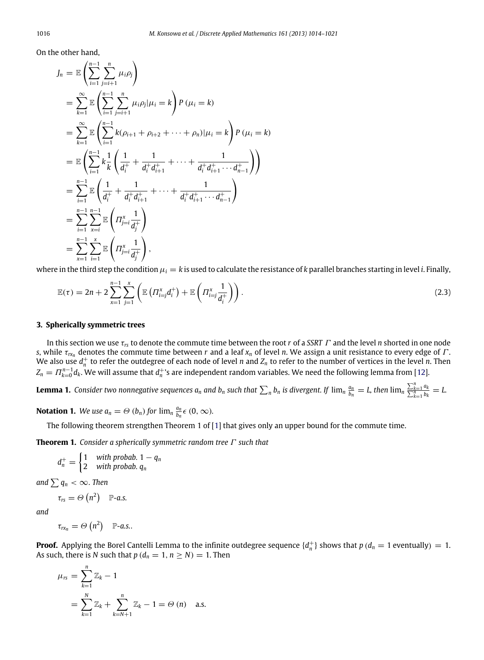On the other hand,

$$
J_n = \mathbb{E}\left(\sum_{i=1}^{n-1} \sum_{j=i+1}^{n} \mu_i \rho_j\right)
$$
  
\n
$$
= \sum_{k=1}^{\infty} \mathbb{E}\left(\sum_{i=1}^{n-1} \sum_{j=i+1}^{n} \mu_i \rho_j | \mu_i = k\right) P (\mu_i = k)
$$
  
\n
$$
= \sum_{k=1}^{\infty} \mathbb{E}\left(\sum_{i=1}^{n-1} k(\rho_{i+1} + \rho_{i+2} + \dots + \rho_n) | \mu_i = k\right) P (\mu_i = k)
$$
  
\n
$$
= \mathbb{E}\left(\sum_{i=1}^{n-1} k \frac{1}{k} \left(\frac{1}{d_i^+} + \frac{1}{d_i^+ d_{i+1}^+} + \dots + \frac{1}{d_i^+ d_{i+1}^+ \dots d_{n-1}^+}\right)\right)
$$
  
\n
$$
= \sum_{i=1}^{n-1} \mathbb{E}\left(\frac{1}{d_i^+} + \frac{1}{d_i^+ d_{i+1}^+} + \dots + \frac{1}{d_i^+ d_{i+1}^+ \dots d_{n-1}^+}\right)
$$
  
\n
$$
= \sum_{i=1}^{n-1} \sum_{x=i}^{n-1} \mathbb{E}\left(\Pi_{j=i}^x \frac{1}{d_j^+}\right)
$$
  
\n
$$
= \sum_{x=1}^{n-1} \sum_{i=1}^{x} \mathbb{E}\left(\Pi_{j=i}^x \frac{1}{d_j^+}\right),
$$

where in the third step the condition  $\mu_i = k$  is used to calculate the resistance of *k* parallel branches starting in level *i*. Finally,

$$
\mathbb{E}(\tau) = 2n + 2\sum_{x=1}^{n-1}\sum_{j=1}^x \left( \mathbb{E}\left(\Pi_{i=j}^x d_i^+\right) + \mathbb{E}\left(\Pi_{i=j}^x \frac{1}{d_i^+}\right) \right).
$$
\n(2.3)

#### **3. Spherically symmetric trees**

In this section we use τ*rs* to denote the commute time between the root *r* of a *SSRT* Γ and the level *n* shorted in one node *s*, while  $\tau_{rx}$  denotes the commute time between *r* and a leaf  $x_n$  of level *n*. We assign a unit resistance to every edge of  $\Gamma$ . We also use  $d_n^+$  to refer the outdegree of each node of level *n* and  $Z_n$  to refer to the number of vertices in the level *n*. Then  $Z_n = \varPi_{k=0}^{n-1} d_k.$  We will assume that  $d_n^+$ 's are independent random variables. We need the following lemma from [\[12\]](#page-7-22).

<span id="page-2-0"></span>**Lemma 1.** Consider two nonnegative sequences  $a_n$  and  $b_n$  such that  $\sum_nb_n$  is divergent. If  $\lim_n\frac{a_n}{b_n}=L$ , then  $\lim_n\frac{\sum_{k=1}^n a_k}{\sum_{k=1}^n b_k}=L$ 

**Notation 1.** We use  $a_n = \Theta(b_n)$  for  $\lim_n \frac{a_n}{b_n} \in (0, \infty)$ .

The following theorem strengthen Theorem 1 of [\[1\]](#page-7-5) that gives only an upper bound for the commute time.

**Theorem 1.** *Consider a spherically symmetric random tree* Γ *such that*

<span id="page-2-1"></span> $d_n^+ = \begin{cases} 1 & \text{with probab. } 1 - q_n \\ 2 & \text{with probab. } q_n \end{cases}$ 2 *with probab. q<sup>n</sup>*

*and*  $\sum q_n < \infty$ *. Then* 

$$
\tau_{rs} = \Theta\left(n^2\right) \quad \mathbb{P}\text{-}a.s.
$$

*and*

$$
\tau_{rx_n} = \Theta\left(n^2\right) \quad \mathbb{P}\text{-}a.s..
$$

**Proof.** Applying the Borel Cantelli Lemma to the infinite outdegree sequence  $\{d_n^+\}$  shows that  $p(d_n = 1$  eventually) = 1. As such, there is *N* such that  $p (d_n = 1, n \ge N) = 1$ . Then

$$
\mu_{rs} = \sum_{k=1}^{n} \mathbb{Z}_k - 1
$$
  
= 
$$
\sum_{k=1}^{N} \mathbb{Z}_k + \sum_{k=N+1}^{n} \mathbb{Z}_k - 1 = \Theta (n) \text{ a.s.}
$$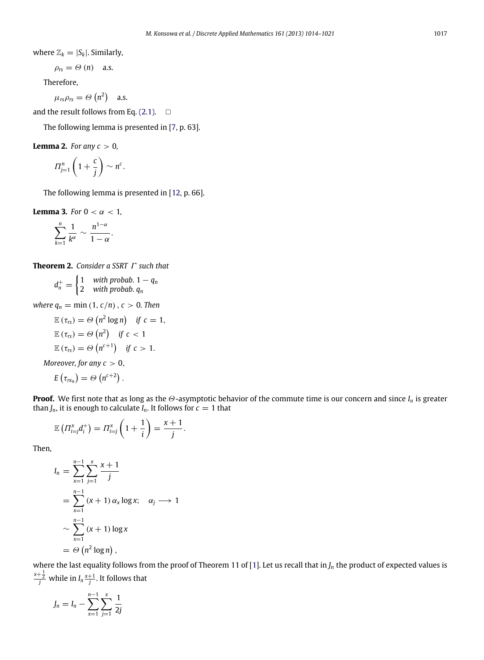where  $\mathbb{Z}_k = |S_k|$ . Similarly,

$$
\rho_{rs} = \Theta (n) \quad \text{a.s.}
$$

Therefore,

$$
\mu_{rs}\rho_{rs}=\Theta\left(n^2\right) \quad \text{a.s.}
$$

and the result follows from Eq.  $(2.1)$ .  $\Box$ 

The following lemma is presented in [\[7,](#page-7-23) p. 63].

**Lemma 2.** *For any*  $c > 0$ *,* 

<span id="page-3-0"></span>
$$
\Pi_{j=1}^n \left(1+\frac{c}{j}\right) \sim n^c.
$$

The following lemma is presented in [\[12,](#page-7-22) p. 66].

**Lemma 3.** *For*  $0 < \alpha < 1$ ,

<span id="page-3-1"></span>
$$
\sum_{k=1}^n \frac{1}{k^{\alpha}} \sim \frac{n^{1-\alpha}}{1-\alpha}.
$$

**Theorem 2.** *Consider a SSRT* Γ *such that*

<span id="page-3-2"></span>
$$
d_n^+ = \begin{cases} 1 & \text{with probab. } 1 - q_n \\ 2 & \text{with probab. } q_n \end{cases}
$$

*where*  $q_n = \min(1, c/n)$ ,  $c > 0$ . Then

$$
\mathbb{E}(\tau_{rs}) = \Theta(n^2 \log n) \quad \text{if } c = 1,
$$
  

$$
\mathbb{E}(\tau_{rs}) = \Theta(n^2) \quad \text{if } c < 1
$$
  

$$
\mathbb{E}(\tau_{rs}) = \Theta(n^{c+1}) \quad \text{if } c > 1.
$$

*Moreover, for any*  $c > 0$ *,* 

$$
E\left(\tau_{rx_n}\right)=\varTheta\left(n^{c+2}\right).
$$

**Proof.** We first note that as long as the Θ-asymptotic behavior of the commute time is our concern and since *I<sup>n</sup>* is greater than  $J_n$ , it is enough to calculate  $I_n$ . It follows for  $c = 1$  that

$$
\mathbb{E}\left(\Pi_{i=j}^x d_i^+\right) = \Pi_{i=j}^x \left(1 + \frac{1}{i}\right) = \frac{x+1}{j}.
$$

Then,

$$
I_n = \sum_{x=1}^{n-1} \sum_{j=1}^{x} \frac{x+1}{j}
$$
  
= 
$$
\sum_{x=1}^{n-1} (x+1) \alpha_x \log x; \quad \alpha_j \longrightarrow 1
$$
  

$$
\sim \sum_{x=1}^{n-1} (x+1) \log x
$$
  
= 
$$
\Theta(n^2 \log n),
$$

where the last equality follows from the proof of Theorem 11 of [\[1\]](#page-7-5). Let us recall that in *J<sup>n</sup>* the product of expected values is  $\frac{x+\frac{1}{2}}{j}$  while in  $I_n\frac{x+1}{j}$ . It follows that

$$
J_n = I_n - \sum_{x=1}^{n-1} \sum_{j=1}^{x} \frac{1}{2j}
$$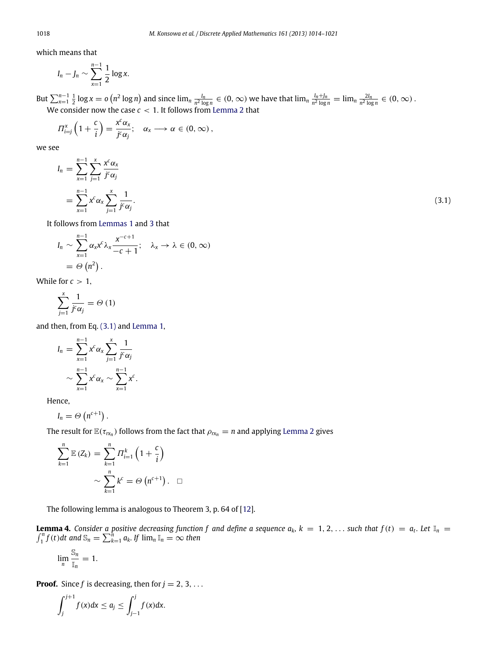which means that

$$
I_n - J_n \sim \sum_{x=1}^{n-1} \frac{1}{2} \log x.
$$

But  $\sum_{x=1}^{n-1} \frac{1}{2} \log x = o(n^2 \log n)$  and since  $\lim_{n} \frac{l_n}{n^2 \log n} \in (0, \infty)$  we have that  $\lim_{n} \frac{l_n + l_n}{n^2 \log n} = \lim_{n} \frac{2l_n}{n^2 \log n} \in (0, \infty)$ . We consider now the case *c* < 1. It follows from [Lemma 2](#page-3-0) that

$$
\Pi_{i=j}^{x}\left(1+\frac{c}{i}\right)=\frac{x^{c}\alpha_{x}}{j^{c}\alpha_{j}};\quad \alpha_{x}\longrightarrow\alpha\in(0,\infty),
$$

we see

$$
I_n = \sum_{x=1}^{n-1} \sum_{j=1}^{x} \frac{x^c \alpha_x}{j^c \alpha_j}
$$
  
= 
$$
\sum_{x=1}^{n-1} x^c \alpha_x \sum_{j=1}^{x} \frac{1}{j^c \alpha_j}.
$$
 (3.1)

<span id="page-4-0"></span>

It follows from [Lemmas 1](#page-2-0) and [3](#page-3-1) that

$$
I_n \sim \sum_{x=1}^{n-1} \alpha_x x^c \lambda_x \frac{x^{-c+1}}{-c+1}; \quad \lambda_x \to \lambda \in (0, \infty)
$$
  
=  $\Theta(n^2)$ .

While for  $c > 1$ ,

$$
\sum_{j=1}^{x} \frac{1}{j^{c} \alpha_{j}} = \Theta(1)
$$

and then, from Eq. [\(3.1\)](#page-4-0) and [Lemma 1,](#page-2-0)

$$
I_n = \sum_{x=1}^{n-1} x^c \alpha_x \sum_{j=1}^x \frac{1}{j^c \alpha_j}
$$

$$
\sim \sum_{x=1}^{n-1} x^c \alpha_x \sim \sum_{x=1}^{n-1} x^c.
$$

Hence,

$$
I_n = \Theta\left(n^{c+1}\right).
$$

The result for  $\mathbb{E}(\tau_{\text{rx}_n})$  follows from the fact that  $\rho_{\text{rx}_n} = n$  and applying [Lemma 2](#page-3-0) gives

$$
\sum_{k=1}^{n} \mathbb{E} (Z_k) = \sum_{k=1}^{n} \Pi_{i=1}^{k} \left( 1 + \frac{c}{i} \right)
$$

$$
\sim \sum_{k=1}^{n} k^c = \Theta \left( n^{c+1} \right). \quad \Box
$$

<span id="page-4-1"></span>The following lemma is analogous to Theorem 3, p. 64 of [\[12\]](#page-7-22).

**Lemma 4.** Consider a positive decreasing function f and define a sequence  $a_k$ ,  $k = 1, 2, \ldots$  such that  $f(t) = a_t$ . Let  $\mathbb{I}_n = \int_{t-1}^{n} f(t) dt$  and  $\mathbb{S}_n = \sum_{k=1}^{n} a_k$ . If  $\lim_{n} \mathbb{I}_n = \infty$  then  $\sum_{k=1}^{n} a_k$ *. If*  $\lim_{n} \mathbb{I}_n = \infty$  then

$$
\lim_n \frac{\mathbb{S}_n}{\mathbb{I}_n} = 1.
$$

**Proof.** Since  $f$  is decreasing, then for  $j = 2, 3, ...$ 

$$
\int_j^{j+1} f(x)dx \leq a_j \leq \int_{j-1}^j f(x)dx.
$$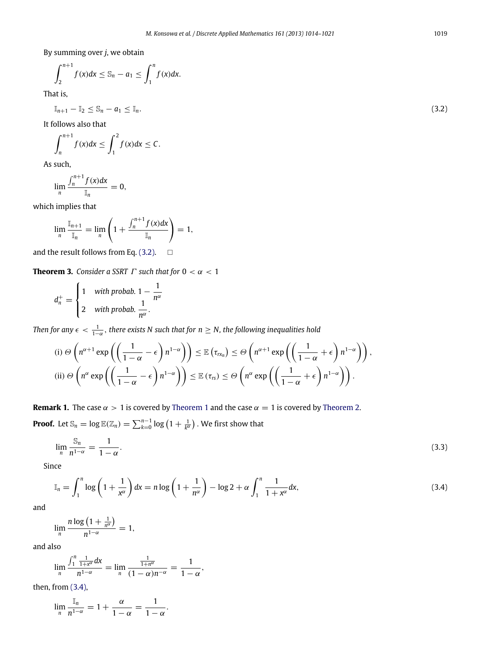By summing over *j*, we obtain

$$
\int_2^{n+1} f(x) dx \leq \mathbb{S}_n - a_1 \leq \int_1^n f(x) dx.
$$

That is,

 $\mathbb{I}_{n+1} - \mathbb{I}_2 \leq \mathbb{S}_n - a_1 \leq \mathbb{I}_n.$ (3.2)

It follows also that

$$
\int_{n}^{n+1} f(x)dx \leq \int_{1}^{2} f(x)dx \leq C.
$$

As such,

$$
\lim_n \frac{\int_n^{n+1} f(x) dx}{\mathbb{I}_n} = 0,
$$

which implies that

$$
\lim_{n} \frac{\mathbb{I}_{n+1}}{\mathbb{I}_{n}} = \lim_{n} \left( 1 + \frac{\int_{n}^{n+1} f(x) dx}{\mathbb{I}_{n}} \right) = 1,
$$

and the result follows from Eq. [\(3.2\).](#page-5-0)  $\Box$ 

**Theorem 3.** *Consider a SSRT*  $\Gamma$  *such that for*  $0 < \alpha < 1$ 

$$
d_n^+ = \begin{cases} 1 & \text{with probab. } 1 - \frac{1}{n^{\alpha}} \\ 2 & \text{with probab. } \frac{1}{n^{\alpha}}. \end{cases}
$$

Then for any  $\epsilon < \frac{1}{1-\alpha}$ , there exists N such that for  $n \geq N$ , the following inequalities hold

(i) 
$$
\Theta\left(n^{\alpha+1}\exp\left(\left(\frac{1}{1-\alpha}-\epsilon\right)n^{1-\alpha}\right)\right) \leq \mathbb{E}\left(\tau_{rx_n}\right) \leq \Theta\left(n^{\alpha+1}\exp\left(\left(\frac{1}{1-\alpha}+\epsilon\right)n^{1-\alpha}\right)\right),
$$
  
\n(ii)  $\Theta\left(n^{\alpha}\exp\left(\left(\frac{1}{1-\alpha}-\epsilon\right)n^{1-\alpha}\right)\right) \leq \mathbb{E}\left(\tau_{rs}\right) \leq \Theta\left(n^{\alpha}\exp\left(\left(\frac{1}{1-\alpha}+\epsilon\right)n^{1-\alpha}\right)\right).$ 

**Remark 1.** The case  $\alpha > 1$  is covered by [Theorem 1](#page-2-1) and the case  $\alpha = 1$  is covered by [Theorem 2.](#page-3-2) **Proof.** Let  $\mathbb{S}_n = \log \mathbb{E}(\mathbb{Z}_n) = \sum_{k=0}^{n-1} \log \left(1 + \frac{1}{k^{\alpha}}\right)$  . We first show that

$$
\lim_{n} \frac{\mathbb{S}_n}{n^{1-\alpha}} = \frac{1}{1-\alpha}.\tag{3.3}
$$

Since

$$
\mathbb{I}_n = \int_1^n \log\left(1 + \frac{1}{x^{\alpha}}\right) dx = n \log\left(1 + \frac{1}{n^{\alpha}}\right) - \log 2 + \alpha \int_1^n \frac{1}{1 + x^{\alpha}} dx,\tag{3.4}
$$

and

$$
\lim_{n}\frac{n\log\left(1+\frac{1}{n^{\alpha}}\right)}{n^{1-\alpha}}=1,
$$

and also

$$
\lim_{n}\frac{\int_{1}^{n}\frac{1}{1+x^{\alpha}}dx}{n^{1-\alpha}}=\lim_{n}\frac{\frac{1}{1+n^{\alpha}}}{(1-\alpha)n^{-\alpha}}=\frac{1}{1-\alpha},
$$

then, from [\(3.4\),](#page-5-1)

$$
\lim_{n} \frac{\mathbb{I}_{n}}{n^{1-\alpha}} = 1 + \frac{\alpha}{1-\alpha} = \frac{1}{1-\alpha}.
$$

<span id="page-5-1"></span><span id="page-5-0"></span>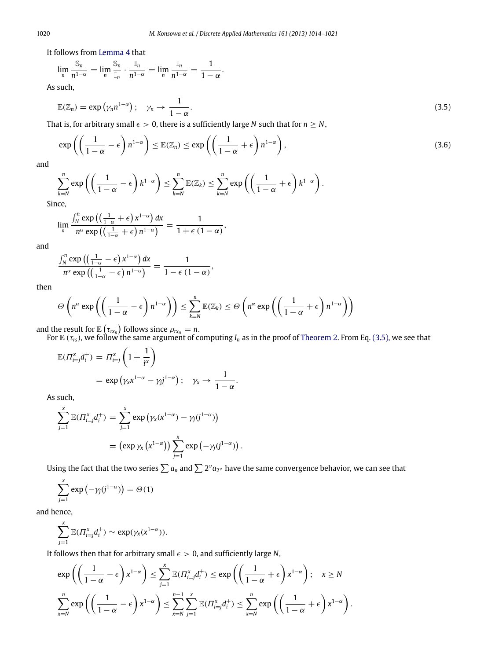It follows from [Lemma 4](#page-4-1) that

$$
\lim_{n}\frac{\mathbb{S}_{n}}{n^{1-\alpha}}=\lim_{n}\frac{\mathbb{S}_{n}}{\mathbb{I}_{n}}\cdot\frac{\mathbb{I}_{n}}{n^{1-\alpha}}=\lim_{n}\frac{\mathbb{I}_{n}}{n^{1-\alpha}}=\frac{1}{1-\alpha}.
$$

As such,

<span id="page-6-0"></span>
$$
\mathbb{E}(\mathbb{Z}_n) = \exp(\gamma_n n^{1-\alpha}); \quad \gamma_n \to \frac{1}{1-\alpha}.\tag{3.5}
$$

That is, for arbitrary small  $\epsilon > 0$ , there is a sufficiently large *N* such that for  $n \geq N$ ,

$$
\exp\left(\left(\frac{1}{1-\alpha}-\epsilon\right)n^{1-\alpha}\right)\leq \mathbb{E}(\mathbb{Z}_n)\leq \exp\left(\left(\frac{1}{1-\alpha}+\epsilon\right)n^{1-\alpha}\right),\tag{3.6}
$$

and

$$
\sum_{k=N}^{n} \exp\left(\left(\frac{1}{1-\alpha}-\epsilon\right)k^{1-\alpha}\right) \leq \sum_{k=N}^{n} \mathbb{E}(\mathbb{Z}_k) \leq \sum_{k=N}^{n} \exp\left(\left(\frac{1}{1-\alpha}+\epsilon\right)k^{1-\alpha}\right).
$$

Since,

$$
\lim_{n}\frac{\int_{N}^{n}\exp\left(\left(\frac{1}{1-\alpha}+\epsilon\right)x^{1-\alpha}\right)dx}{n^{\alpha}\exp\left(\left(\frac{1}{1-\alpha}+\epsilon\right)n^{1-\alpha}\right)}=\frac{1}{1+\epsilon(1-\alpha)},
$$

and

$$
\frac{\int_N^n \exp\left(\left(\frac{1}{1-\alpha}-\epsilon\right) x^{1-\alpha}\right) dx}{n^{\alpha} \exp\left(\left(\frac{1}{1-\alpha}-\epsilon\right) n^{1-\alpha}\right)} = \frac{1}{1-\epsilon (1-\alpha)},
$$

then

$$
\Theta\left(n^{\alpha}\exp\left(\left(\frac{1}{1-\alpha}-\epsilon\right)n^{1-\alpha}\right)\right)\leq \sum_{k=N}^{n}\mathbb{E}(\mathbb{Z}_{k})\leq \Theta\left(n^{\alpha}\exp\left(\left(\frac{1}{1-\alpha}+\epsilon\right)n^{1-\alpha}\right)\right)
$$

and the result for  $\mathbb{E}(\tau_{rx_n})$  follows since  $\rho_{rx_n} = n$ .

For  $E(\tau_{rs})$ , we follow the same argument of computing  $I_n$  as in the proof of [Theorem 2.](#page-3-2) From Eq. [\(3.5\),](#page-6-0) we see that

$$
\mathbb{E}(\Pi_{i=j}^x d_i^+) = \Pi_{i=j}^x \left(1 + \frac{1}{i^{\alpha}}\right)
$$
  
=  $\exp\left(\gamma_x x^{1-\alpha} - \gamma_j j^{1-\alpha}\right); \quad \gamma_x \to \frac{1}{1-\alpha}.$ 

As such,

$$
\sum_{j=1}^{x} \mathbb{E}(\Pi_{i=j}^{x} d_i^{+}) = \sum_{j=1}^{x} \exp \left(\gamma_x(x^{1-\alpha}) - \gamma_j(j^{1-\alpha})\right)
$$

$$
= (\exp \gamma_x(x^{1-\alpha})) \sum_{j=1}^{x} \exp \left(-\gamma_j(j^{1-\alpha})\right).
$$

Using the fact that the two series  $\sum a_n$  and  $\sum 2^\nu a_{2^\nu}$  have the same convergence behavior, we can see that

$$
\sum_{j=1}^{x} \exp(-\gamma_j(j^{1-\alpha})) = \Theta(1)
$$

and hence,

$$
\sum_{j=1}^x \mathbb{E}(\Pi_{i=j}^x d_i^+) \sim \exp(\gamma_x(x^{1-\alpha})).
$$

It follows then that for arbitrary small  $\epsilon > 0$ , and sufficiently large N,

$$
\exp\left(\left(\frac{1}{1-\alpha}-\epsilon\right)x^{1-\alpha}\right) \le \sum_{j=1}^x \mathbb{E}(H_{i=j}^x d_i^+) \le \exp\left(\left(\frac{1}{1-\alpha}+\epsilon\right)x^{1-\alpha}\right); \quad x \ge N
$$

$$
\sum_{x=N}^n \exp\left(\left(\frac{1}{1-\alpha}-\epsilon\right)x^{1-\alpha}\right) \le \sum_{x=N}^{n-1} \sum_{j=1}^x \mathbb{E}(H_{i=j}^x d_i^+) \le \sum_{x=N}^n \exp\left(\left(\frac{1}{1-\alpha}+\epsilon\right)x^{1-\alpha}\right).
$$